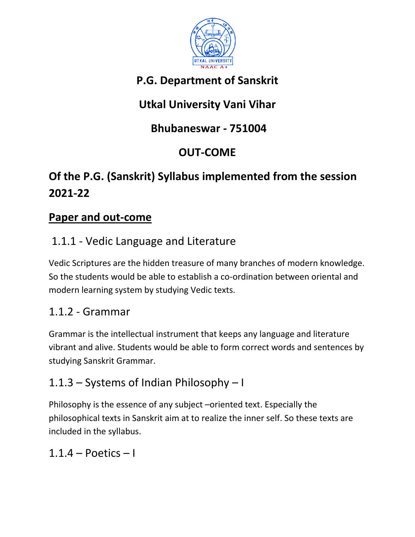

# **P.G. Department of Sanskrit**

# **Utkal University Vani Vihar**

# **Bhubaneswar - 751004**

# **OUT-COME**

# **Of the P.G. (Sanskrit) Syllabus implemented from the session 2021-22**

#### **Paper and out-come**

# 1.1.1 - Vedic Language and Literature

Vedic Scriptures are the hidden treasure of many branches of modern knowledge. So the students would be able to establish a co-ordination between oriental and modern learning system by studying Vedic texts.

# 1.1.2 - Grammar

Grammar is the intellectual instrument that keeps any language and literature vibrant and alive. Students would be able to form correct words and sentences by studying Sanskrit Grammar.

# 1.1.3 – Systems of Indian Philosophy – I

Philosophy is the essence of any subject –oriented text. Especially the philosophical texts in Sanskrit aim at to realize the inner self. So these texts are included in the syllabus.

#### $1.1.4$  – Poetics – I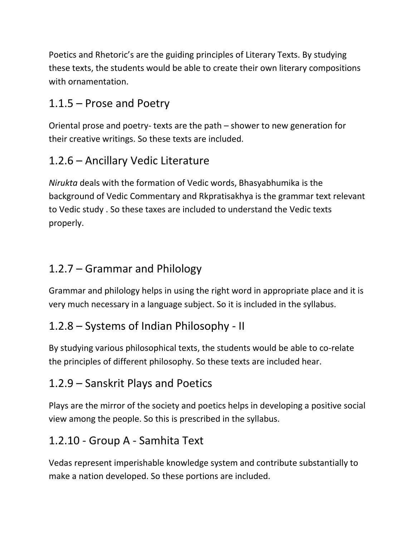Poetics and Rhetoric's are the guiding principles of Literary Texts. By studying these texts, the students would be able to create their own literary compositions with ornamentation.

# 1.1.5 – Prose and Poetry

Oriental prose and poetry- texts are the path – shower to new generation for their creative writings. So these texts are included.

# 1.2.6 – Ancillary Vedic Literature

*Nirukta* deals with the formation of Vedic words, Bhasyabhumika is the background of Vedic Commentary and Rkpratisakhya is the grammar text relevant to Vedic study . So these taxes are included to understand the Vedic texts properly.

#### 1.2.7 – Grammar and Philology

Grammar and philology helps in using the right word in appropriate place and it is very much necessary in a language subject. So it is included in the syllabus.

# 1.2.8 – Systems of Indian Philosophy - II

By studying various philosophical texts, the students would be able to co-relate the principles of different philosophy. So these texts are included hear.

# 1.2.9 – Sanskrit Plays and Poetics

Plays are the mirror of the society and poetics helps in developing a positive social view among the people. So this is prescribed in the syllabus.

#### 1.2.10 - Group A - Samhita Text

Vedas represent imperishable knowledge system and contribute substantially to make a nation developed. So these portions are included.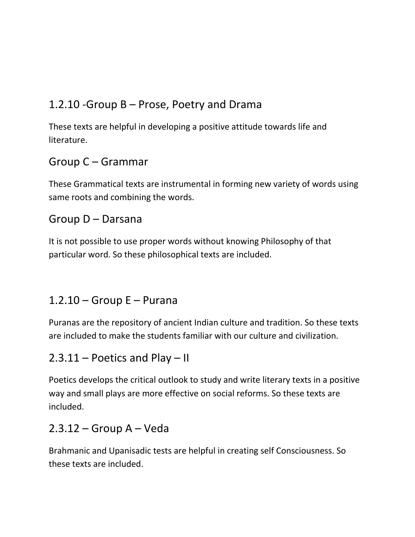# 1.2.10 -Group B – Prose, Poetry and Drama

These texts are helpful in developing a positive attitude towards life and literature.

#### Group C – Grammar

These Grammatical texts are instrumental in forming new variety of words using same roots and combining the words.

#### Group D – Darsana

It is not possible to use proper words without knowing Philosophy of that particular word. So these philosophical texts are included.

#### $1.2.10 -$  Group E – Purana

Puranas are the repository of ancient Indian culture and tradition. So these texts are included to make the students familiar with our culture and civilization.

#### 2.3.11 – Poetics and Play – II

Poetics develops the critical outlook to study and write literary texts in a positive way and small plays are more effective on social reforms. So these texts are included.

#### $2.3.12$  – Group A – Veda

Brahmanic and Upanisadic tests are helpful in creating self Consciousness. So these texts are included.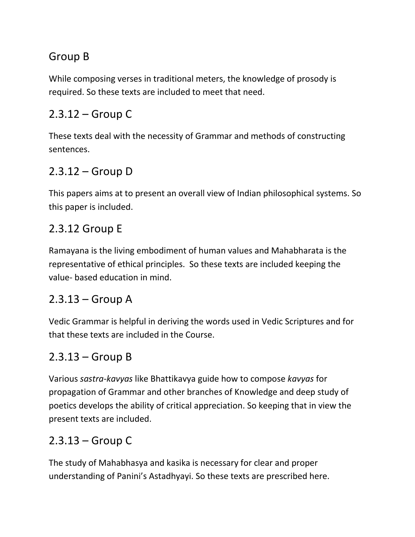# Group B

While composing verses in traditional meters, the knowledge of prosody is required. So these texts are included to meet that need.

# 2.3.12 – Group C

These texts deal with the necessity of Grammar and methods of constructing sentences.

# 2.3.12 – Group D

This papers aims at to present an overall view of Indian philosophical systems. So this paper is included.

# 2.3.12 Group E

Ramayana is the living embodiment of human values and Mahabharata is the representative of ethical principles. So these texts are included keeping the value- based education in mind.

#### 2.3.13 – Group A

Vedic Grammar is helpful in deriving the words used in Vedic Scriptures and for that these texts are included in the Course.

# 2.3.13 – Group B

Various *sastra-kavyas* like Bhattikavya guide how to compose *kavyas* for propagation of Grammar and other branches of Knowledge and deep study of poetics develops the ability of critical appreciation. So keeping that in view the present texts are included.

# 2.3.13 – Group C

The study of Mahabhasya and kasika is necessary for clear and proper understanding of Panini's Astadhyayi. So these texts are prescribed here.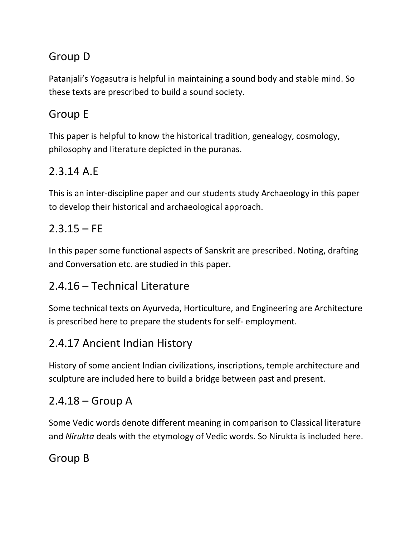# Group D

Patanjali's Yogasutra is helpful in maintaining a sound body and stable mind. So these texts are prescribed to build a sound society.

## Group E

This paper is helpful to know the historical tradition, genealogy, cosmology, philosophy and literature depicted in the puranas.

#### 2.3.14 A.E

This is an inter-discipline paper and our students study Archaeology in this paper to develop their historical and archaeological approach.

# $2.3.15 - FE$

In this paper some functional aspects of Sanskrit are prescribed. Noting, drafting and Conversation etc. are studied in this paper.

# 2.4.16 – Technical Literature

Some technical texts on Ayurveda, Horticulture, and Engineering are Architecture is prescribed here to prepare the students for self- employment.

#### 2.4.17 Ancient Indian History

History of some ancient Indian civilizations, inscriptions, temple architecture and sculpture are included here to build a bridge between past and present.

#### $2.4.18 -$  Group A

Some Vedic words denote different meaning in comparison to Classical literature and *Nirukta* deals with the etymology of Vedic words. So Nirukta is included here.

#### Group B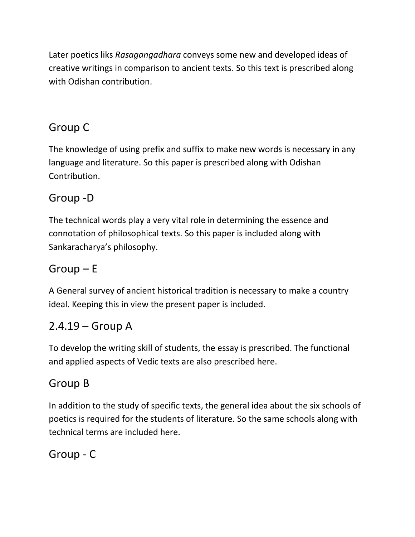Later poetics liks *Rasagangadhara* conveys some new and developed ideas of creative writings in comparison to ancient texts. So this text is prescribed along with Odishan contribution.

# Group C

The knowledge of using prefix and suffix to make new words is necessary in any language and literature. So this paper is prescribed along with Odishan Contribution.

# Group -D

The technical words play a very vital role in determining the essence and connotation of philosophical texts. So this paper is included along with Sankaracharya's philosophy.

# Group – E

A General survey of ancient historical tradition is necessary to make a country ideal. Keeping this in view the present paper is included.

#### 2.4.19 – Group A

To develop the writing skill of students, the essay is prescribed. The functional and applied aspects of Vedic texts are also prescribed here.

# Group B

In addition to the study of specific texts, the general idea about the six schools of poetics is required for the students of literature. So the same schools along with technical terms are included here.

Group - C